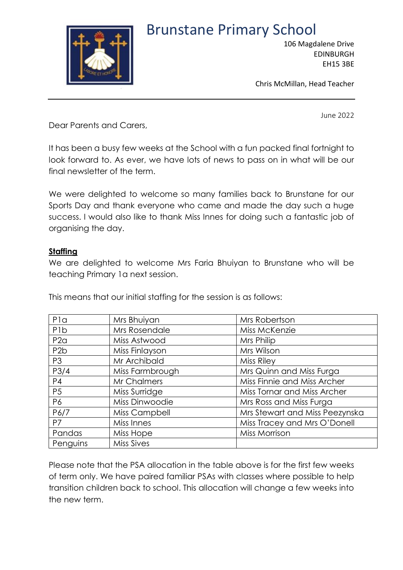

# Brunstane Primary School

106 Magdalene Drive EDINBURGH EH15 3BE

Chris McMillan, Head Teacher

June 2022

Dear Parents and Carers,

It has been a busy few weeks at the School with a fun packed final fortnight to look forward to. As ever, we have lots of news to pass on in what will be our final newsletter of the term.

We were delighted to welcome so many families back to Brunstane for our Sports Day and thank everyone who came and made the day such a huge success. I would also like to thank Miss Innes for doing such a fantastic job of organising the day.

### **Staffing**

We are delighted to welcome Mrs Faria Bhuiyan to Brunstane who will be teaching Primary 1a next session.

This means that our initial staffing for the session is as follows:

| Pla              | Mrs Bhuiyan     | Mrs Robertson                  |
|------------------|-----------------|--------------------------------|
| P <sub>1</sub> b | Mrs Rosendale   | Miss McKenzie                  |
| P2a              | Miss Astwood    | Mrs Philip                     |
| P <sub>2</sub> b | Miss Finlayson  | Mrs Wilson                     |
| P <sub>3</sub>   | Mr Archibald    | Miss Riley                     |
| P3/4             | Miss Farmbrough | Mrs Quinn and Miss Furga       |
| P <sub>4</sub>   | Mr Chalmers     | Miss Finnie and Miss Archer    |
| P <sub>5</sub>   | Miss Surridge   | Miss Tornar and Miss Archer    |
| P6               | Miss Dinwoodie  | Mrs Ross and Miss Furga        |
| P6/7             | Miss Campbell   | Mrs Stewart and Miss Peezynska |
| PZ               | Miss Innes      | Miss Tracey and Mrs O'Donell   |
| Pandas           | Miss Hope       | Miss Morrison                  |
| Penguins         | Miss Sives      |                                |

Please note that the PSA allocation in the table above is for the first few weeks of term only. We have paired familiar PSAs with classes where possible to help transition children back to school. This allocation will change a few weeks into the new term.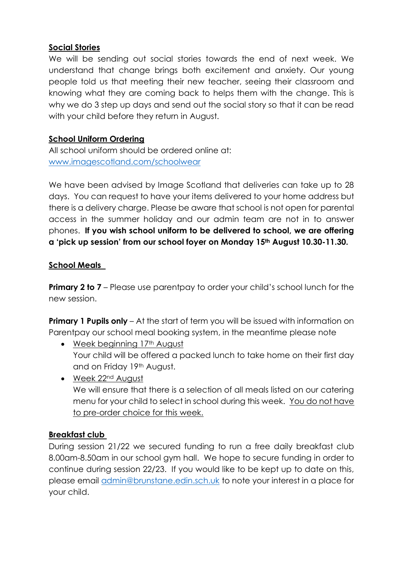## **Social Stories**

We will be sending out social stories towards the end of next week. We understand that change brings both excitement and anxiety. Our young people told us that meeting their new teacher, seeing their classroom and knowing what they are coming back to helps them with the change. This is why we do 3 step up days and send out the social story so that it can be read with your child before they return in August.

## **School Uniform Ordering**

All school uniform should be ordered online at: [www.imagescotland.com/schoolwear](http://www.imagescotland.com/schoolwear)

We have been advised by Image Scotland that deliveries can take up to 28 days. You can request to have your items delivered to your home address but there is a delivery charge. Please be aware that school is not open for parental access in the summer holiday and our admin team are not in to answer phones. **If you wish school uniform to be delivered to school, we are offering a 'pick up session' from our school foyer on Monday 15th August 10.30-11.30.**

## **School Meals**

**Primary 2 to 7** – Please use parentpay to order your child's school lunch for the new session.

**Primary 1 Pupils only** – At the start of term you will be issued with information on Parentpay our school meal booking system, in the meantime please note

- Week beginning 17th August Your child will be offered a packed lunch to take home on their first day and on Friday 19th August.
- Week 22<sup>nd</sup> August We will ensure that there is a selection of all meals listed on our catering menu for your child to select in school during this week. You do not have to pre-order choice for this week.

## **Breakfast club**

During session 21/22 we secured funding to run a free daily breakfast club 8.00am-8.50am in our school gym hall. We hope to secure funding in order to continue during session 22/23. If you would like to be kept up to date on this, please email [admin@brunstane.edin.sch.uk](mailto:admin@brunstane.edin.sch.uk) to note your interest in a place for your child.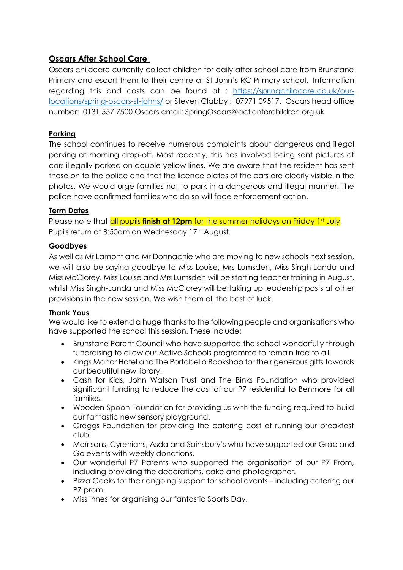## **Oscars After School Care**

Oscars childcare currently collect children for daily after school care from Brunstane Primary and escort them to their centre at St John's RC Primary school. Information regarding this and costs can be found at : [https://springchildcare.co.uk/our](https://springchildcare.co.uk/our-locations/spring-oscars-st-johns/)[locations/spring-oscars-st-johns/](https://springchildcare.co.uk/our-locations/spring-oscars-st-johns/) or Steven Clabby : 07971 09517. Oscars head office number: 0131 557 7500 Oscars email: SpringOscars@actionforchildren.org.uk

### **Parking**

The school continues to receive numerous complaints about dangerous and illegal parking at morning drop-off. Most recently, this has involved being sent pictures of cars illegally parked on double yellow lines. We are aware that the resident has sent these on to the police and that the licence plates of the cars are clearly visible in the photos. We would urge families not to park in a dangerous and illegal manner. The police have confirmed families who do so will face enforcement action.

### **Term Dates**

Please note that all pupils **finish at 12pm** for the summer holidays on Friday 1st July. Pupils return at 8:50am on Wednesday 17<sup>th</sup> August.

### **Goodbyes**

As well as Mr Lamont and Mr Donnachie who are moving to new schools next session, we will also be saying goodbye to Miss Louise, Mrs Lumsden, Miss Singh-Landa and Miss McClorey. Miss Louise and Mrs Lumsden will be starting teacher training in August, whilst Miss Singh-Landa and Miss McClorey will be taking up leadership posts at other provisions in the new session. We wish them all the best of luck.

#### **Thank Yous**

We would like to extend a huge thanks to the following people and organisations who have supported the school this session. These include:

- Brunstane Parent Council who have supported the school wonderfully through fundraising to allow our Active Schools programme to remain free to all.
- Kings Manor Hotel and The Portobello Bookshop for their generous gifts towards our beautiful new library.
- Cash for Kids, John Watson Trust and The Binks Foundation who provided significant funding to reduce the cost of our P7 residential to Benmore for all families.
- Wooden Spoon Foundation for providing us with the funding required to build our fantastic new sensory playground.
- Greggs Foundation for providing the catering cost of running our breakfast club.
- Morrisons, Cyrenians, Asda and Sainsbury's who have supported our Grab and Go events with weekly donations.
- Our wonderful P7 Parents who supported the organisation of our P7 Prom, including providing the decorations, cake and photographer.
- Pizza Geeks for their ongoing support for school events including catering our P7 prom.
- Miss Innes for organising our fantastic Sports Day.